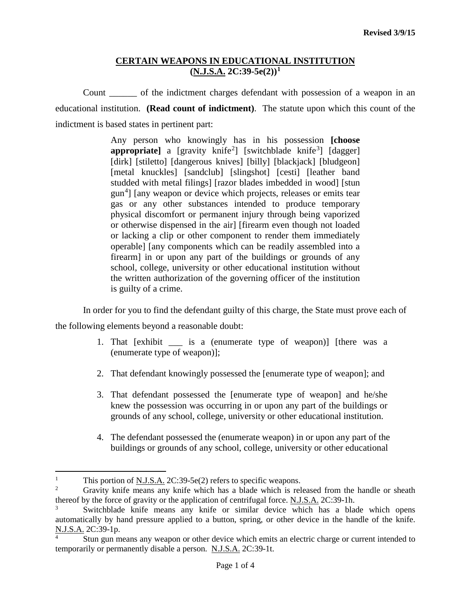### **CERTAIN WEAPONS IN EDUCATIONAL INSTITUTION (N.J.S.A. 2C:39-5e(2))[1](#page-0-0)**

Count \_\_\_\_\_\_ of the indictment charges defendant with possession of a weapon in an educational institution. **(Read count of indictment)**. The statute upon which this count of the indictment is based states in pertinent part:

> Any person who knowingly has in his possession **[choose appropriate**] a [gravity knife<sup>[2](#page-0-1)</sup>] [switchblade knife<sup>[3](#page-0-2)</sup>] [dagger] [dirk] [stiletto] [dangerous knives] [billy] [blackjack] [bludgeon] [metal knuckles] [sandclub] [slingshot] [cesti] [leather band] studded with metal filings] [razor blades imbedded in wood] [stun gun<sup>[4](#page-0-3)</sup>] [any weapon or device which projects, releases or emits tear gas or any other substances intended to produce temporary physical discomfort or permanent injury through being vaporized or otherwise dispensed in the air] [firearm even though not loaded or lacking a clip or other component to render them immediately operable] [any components which can be readily assembled into a firearm] in or upon any part of the buildings or grounds of any school, college, university or other educational institution without the written authorization of the governing officer of the institution is guilty of a crime.

In order for you to find the defendant guilty of this charge, the State must prove each of

the following elements beyond a reasonable doubt:

- 1. That [exhibit \_\_\_ is a (enumerate type of weapon)] [there was a (enumerate type of weapon)];
- 2. That defendant knowingly possessed the [enumerate type of weapon]; and
- 3. That defendant possessed the [enumerate type of weapon] and he/she knew the possession was occurring in or upon any part of the buildings or grounds of any school, college, university or other educational institution.
- 4. The defendant possessed the (enumerate weapon) in or upon any part of the buildings or grounds of any school, college, university or other educational

<span id="page-0-0"></span><sup>&</sup>lt;sup>1</sup> This portion of <u>N.J.S.A.</u> 2C:39-5e(2) refers to specific weapons.<br><sup>2</sup> Gravity knife means any knife which has a blade which is rel  $\mathbf{1}$ 

<span id="page-0-1"></span><sup>2</sup> Gravity knife means any knife which has a blade which is released from the handle or sheath thereof by the force of gravity or the application of centrifugal force. N.J.S.A. 2C:39-1h.

<span id="page-0-2"></span><sup>3</sup> Switchblade knife means any knife or similar device which has a blade which opens automatically by hand pressure applied to a button, spring, or other device in the handle of the knife. N.J.S.A. 2C:39-1p.

<span id="page-0-3"></span>Stun gun means any weapon or other device which emits an electric charge or current intended to temporarily or permanently disable a person. N.J.S.A. 2C:39-1t.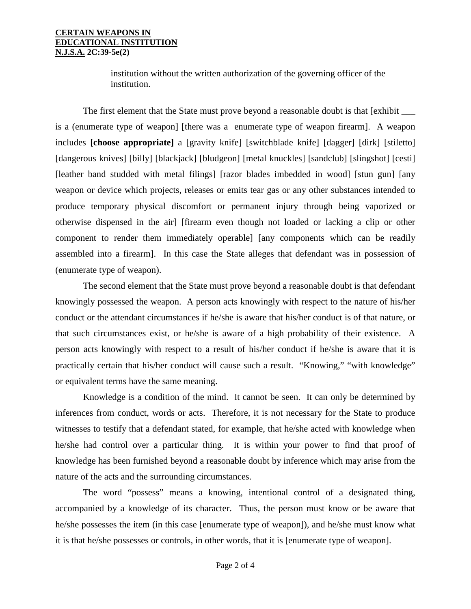#### **CERTAIN WEAPONS IN EDUCATIONAL INSTITUTION N.J.S.A. 2C:39-5e(2)**

institution without the written authorization of the governing officer of the institution.

The first element that the State must prove beyond a reasonable doubt is that [exhibit is a (enumerate type of weapon] [there was a enumerate type of weapon firearm]. A weapon includes **[choose appropriate]** a [gravity knife] [switchblade knife] [dagger] [dirk] [stiletto] [dangerous knives] [billy] [blackjack] [bludgeon] [metal knuckles] [sandclub] [slingshot] [cesti] [leather band studded with metal filings] [razor blades imbedded in wood] [stun gun] [any weapon or device which projects, releases or emits tear gas or any other substances intended to produce temporary physical discomfort or permanent injury through being vaporized or otherwise dispensed in the air] [firearm even though not loaded or lacking a clip or other component to render them immediately operable] [any components which can be readily assembled into a firearm]. In this case the State alleges that defendant was in possession of (enumerate type of weapon).

The second element that the State must prove beyond a reasonable doubt is that defendant knowingly possessed the weapon. A person acts knowingly with respect to the nature of his/her conduct or the attendant circumstances if he/she is aware that his/her conduct is of that nature, or that such circumstances exist, or he/she is aware of a high probability of their existence. A person acts knowingly with respect to a result of his/her conduct if he/she is aware that it is practically certain that his/her conduct will cause such a result. "Knowing," "with knowledge" or equivalent terms have the same meaning.

Knowledge is a condition of the mind. It cannot be seen. It can only be determined by inferences from conduct, words or acts. Therefore, it is not necessary for the State to produce witnesses to testify that a defendant stated, for example, that he/she acted with knowledge when he/she had control over a particular thing. It is within your power to find that proof of knowledge has been furnished beyond a reasonable doubt by inference which may arise from the nature of the acts and the surrounding circumstances.

The word "possess" means a knowing, intentional control of a designated thing, accompanied by a knowledge of its character. Thus, the person must know or be aware that he/she possesses the item (in this case [enumerate type of weapon]), and he/she must know what it is that he/she possesses or controls, in other words, that it is [enumerate type of weapon].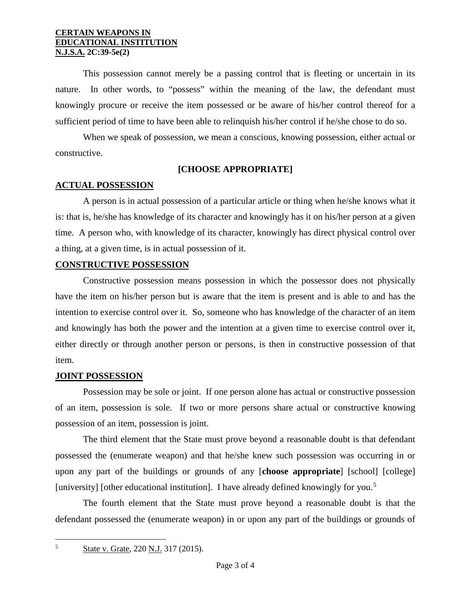### **CERTAIN WEAPONS IN EDUCATIONAL INSTITUTION N.J.S.A. 2C:39-5e(2)**

This possession cannot merely be a passing control that is fleeting or uncertain in its nature. In other words, to "possess" within the meaning of the law, the defendant must knowingly procure or receive the item possessed or be aware of his/her control thereof for a sufficient period of time to have been able to relinquish his/her control if he/she chose to do so.

When we speak of possession, we mean a conscious, knowing possession, either actual or constructive.

## **[CHOOSE APPROPRIATE]**

# **ACTUAL POSSESSION**

A person is in actual possession of a particular article or thing when he/she knows what it is: that is, he/she has knowledge of its character and knowingly has it on his/her person at a given time. A person who, with knowledge of its character, knowingly has direct physical control over a thing, at a given time, is in actual possession of it.

## **CONSTRUCTIVE POSSESSION**

Constructive possession means possession in which the possessor does not physically have the item on his/her person but is aware that the item is present and is able to and has the intention to exercise control over it. So, someone who has knowledge of the character of an item and knowingly has both the power and the intention at a given time to exercise control over it, either directly or through another person or persons, is then in constructive possession of that item.

# **JOINT POSSESSION**

Possession may be sole or joint. If one person alone has actual or constructive possession of an item, possession is sole. If two or more persons share actual or constructive knowing possession of an item, possession is joint.

The third element that the State must prove beyond a reasonable doubt is that defendant possessed the (enumerate weapon) and that he/she knew such possession was occurring in or upon any part of the buildings or grounds of any [**choose appropriate**] [school] [college] [university] [other educational institution]. I have already defined knowingly for you.<sup>[5](#page-2-0)</sup>

The fourth element that the State must prove beyond a reasonable doubt is that the defendant possessed the (enumerate weapon) in or upon any part of the buildings or grounds of

<span id="page-2-0"></span>5

State v. Grate, 220 N.J. 317 (2015).